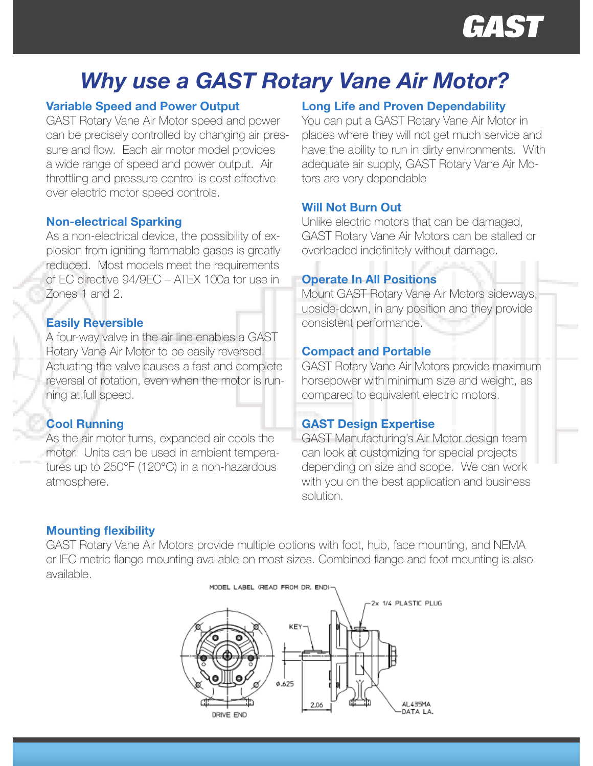

# Why use a GAST Rotary Vane Air Motor?

# Variable Speed and Power Output

GAST Rotary Vane Air Motor speed and power can be precisely controlled by changing air pressure and flow. Each air motor model provides a wide range of speed and power output. Air throttling and pressure control is cost effective over electric motor speed controls.

#### Non-electrical Sparking

As a non-electrical device, the possibility of explosion from igniting flammable gases is greatly reduced. Most models meet the requirements of EC directive 94/9EC – ATEX 100a for use in Zones 1 and 2.

# Easily Reversible

A four-way valve in the air line enables a GAST Rotary Vane Air Motor to be easily reversed. Actuating the valve causes a fast and complete reversal of rotation, even when the motor is running at full speed.

# Cool Running

As the air motor turns, expanded air cools the motor. Units can be used in ambient temperatures up to 250°F (120°C) in a non-hazardous atmosphere.

# Long Life and Proven Dependability

You can put a GAST Rotary Vane Air Motor in places where they will not get much service and have the ability to run in dirty environments. With adequate air supply, GAST Rotary Vane Air Motors are very dependable

### Will Not Burn Out

Unlike electric motors that can be damaged, GAST Rotary Vane Air Motors can be stalled or overloaded indefinitely without damage.

#### Operate In All Positions

Mount GAST Rotary Vane Air Motors sideways, upside-down, in any position and they provide consistent performance.

#### Compact and Portable

GAST Rotary Vane Air Motors provide maximum horsepower with minimum size and weight, as compared to equivalent electric motors.

# GAST Design Expertise

GAST Manufacturing's Air Motor design team can look at customizing for special projects depending on size and scope. We can work with you on the best application and business solution.

# Mounting flexibility

GAST Rotary Vane Air Motors provide multiple options with foot, hub, face mounting, and NEMA or IEC metric flange mounting available on most sizes. Combined flange and foot mounting is also available.